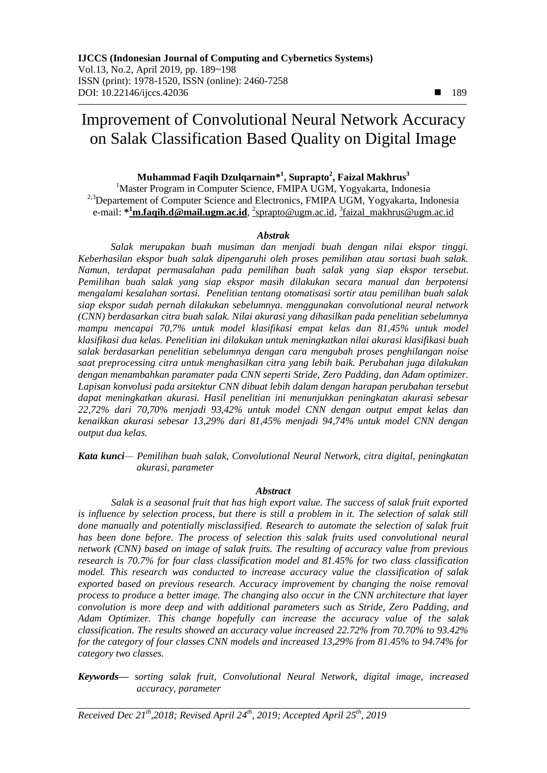# Improvement of Convolutional Neural Network Accuracy on Salak Classification Based Quality on Digital Image

## **Muhammad Faqih Dzulqarnain\* 1 , Suprapto<sup>2</sup> , Faizal Makhrus<sup>3</sup>**

<sup>1</sup>Master Program in Computer Science, FMIPA UGM, Yogyakarta, Indonesia <sup>2,3</sup>Departement of Computer Science and Electronics, FMIPA UGM, Yogyakarta, Indonesia e-mail: **\* <sup>1</sup>[m.faqih.d@mail.ugm.ac.id](mailto:1m.faqih.d@mail.ugm.ac.id)**, 2 [sprapto@ugm.ac.id,](mailto:2sprapto@ugm.ac.id) 3 [faizal\\_makhrus@ugm.ac.id](mailto:3xxx@xxxx.xxx)

#### *Abstrak*

*Salak merupakan buah musiman dan menjadi buah dengan nilai ekspor tinggi. Keberhasilan ekspor buah salak dipengaruhi oleh proses pemilihan atau sortasi buah salak. Namun, terdapat permasalahan pada pemilihan buah salak yang siap ekspor tersebut. Pemilihan buah salak yang siap ekspor masih dilakukan secara manual dan berpotensi mengalami kesalahan sortasi. Penelitian tentang otomatisasi sortir atau pemilihan buah salak siap ekspor sudah pernah dilakukan sebelumnya. menggunakan convolutional neural network (CNN) berdasarkan citra buah salak. Nilai akurasi yang dihasilkan pada penelitian sebelumnya mampu mencapai 70,7% untuk model klasifikasi empat kelas dan 81,45% untuk model klasifikasi dua kelas. Penelitian ini dilakukan untuk meningkatkan nilai akurasi klasifikasi buah salak berdasarkan penelitian sebelumnya dengan cara mengubah proses penghilangan noise saat preprocessing citra untuk menghasilkan citra yang lebih baik. Perubahan juga dilakukan dengan menambahkan paramater pada CNN seperti Stride, Zero Padding, dan Adam optimizer. Lapisan konvolusi pada arsitektur CNN dibuat lebih dalam dengan harapan perubahan tersebut dapat meningkatkan akurasi. Hasil penelitian ini menunjukkan peningkatan akurasi sebesar 22,72% dari 70,70% menjadi 93,42% untuk model CNN dengan output empat kelas dan kenaikkan akurasi sebesar 13,29% dari 81,45% menjadi 94,74% untuk model CNN dengan output dua kelas.*

*Kata kunci— Pemilihan buah salak, Convolutional Neural Network, citra digital, peningkatan akurasi, parameter*

#### *Abstract*

*Salak is a seasonal fruit that has high export value. The success of salak fruit exported is influence by selection process, but there is still a problem in it. The selection of salak still*  done manually and potentially misclassified. Research to automate the selection of salak fruit has been done before. The process of selection this salak fruits used convolutional neural *network (CNN) based on image of salak fruits. The resulting of accuracy value from previous research is 70.7% for four class classification model and 81.45% for two class classification model. This research was conducted to increase accuracy value the classification of salak exported based on previous research. Accuracy improvement by changing the noise removal process to produce a better image. The changing also occur in the CNN architecture that layer convolution is more deep and with additional parameters such as Stride, Zero Padding, and Adam Optimizer. This change hopefully can increase the accuracy value of the salak classification. The results showed an accuracy value increased 22.72% from 70.70% to 93.42% for the category of four classes CNN models and increased 13,29% from 81.45% to 94.74% for category two classes.*

*Keywords— sorting salak fruit, Convolutional Neural Network, digital image, increased accuracy, parameter*

*Received Dec 21th,2018; Revised April 24 th, 2019; Accepted April 25th, 2019*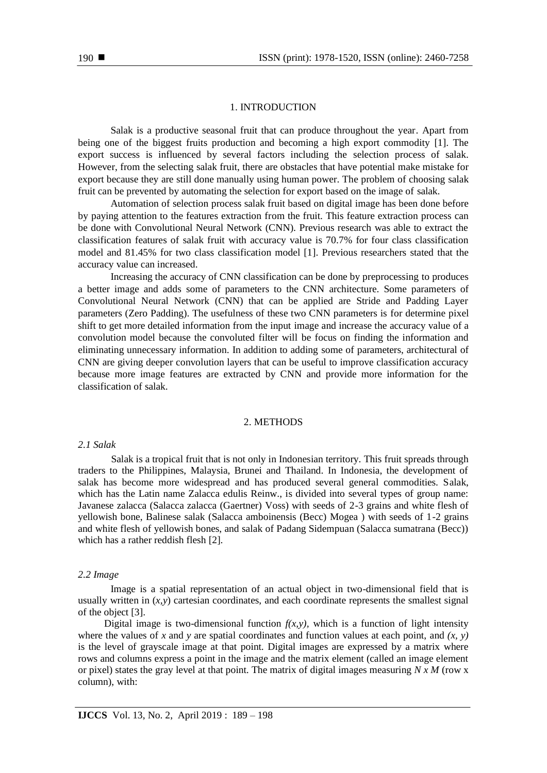## 1. INTRODUCTION

Salak is a productive seasonal fruit that can produce throughout the year. Apart from being one of the biggest fruits production and becoming a high export commodity [1]. The export success is influenced by several factors including the selection process of salak. However, from the selecting salak fruit, there are obstacles that have potential make mistake for export because they are still done manually using human power. The problem of choosing salak fruit can be prevented by automating the selection for export based on the image of salak.

Automation of selection process salak fruit based on digital image has been done before by paying attention to the features extraction from the fruit. This feature extraction process can be done with Convolutional Neural Network (CNN). Previous research was able to extract the classification features of salak fruit with accuracy value is 70.7% for four class classification model and 81.45% for two class classification model [1]. Previous researchers stated that the accuracy value can increased.

Increasing the accuracy of CNN classification can be done by preprocessing to produces a better image and adds some of parameters to the CNN architecture. Some parameters of Convolutional Neural Network (CNN) that can be applied are Stride and Padding Layer parameters (Zero Padding). The usefulness of these two CNN parameters is for determine pixel shift to get more detailed information from the input image and increase the accuracy value of a convolution model because the convoluted filter will be focus on finding the information and eliminating unnecessary information. In addition to adding some of parameters, architectural of CNN are giving deeper convolution layers that can be useful to improve classification accuracy because more image features are extracted by CNN and provide more information for the classification of salak.

#### 2. METHODS

#### *2.1 Salak*

Salak is a tropical fruit that is not only in Indonesian territory. This fruit spreads through traders to the Philippines, Malaysia, Brunei and Thailand. In Indonesia, the development of salak has become more widespread and has produced several general commodities. Salak, which has the Latin name Zalacca edulis Reinw., is divided into several types of group name: Javanese zalacca (Salacca zalacca (Gaertner) Voss) with seeds of 2-3 grains and white flesh of yellowish bone, Balinese salak (Salacca amboinensis (Becc) Mogea ) with seeds of 1-2 grains and white flesh of yellowish bones, and salak of Padang Sidempuan (Salacca sumatrana (Becc)) which has a rather reddish flesh [2].

#### *2.2 Image*

Image is a spatial representation of an actual object in two-dimensional field that is usually written in  $(x, y)$  cartesian coordinates, and each coordinate represents the smallest signal of the object [3].

Digital image is two-dimensional function  $f(x, y)$ , which is a function of light intensity where the values of *x* and *y* are spatial coordinates and function values at each point, and  $(x, y)$ is the level of grayscale image at that point. Digital images are expressed by a matrix where rows and columns express a point in the image and the matrix element (called an image element or pixel) states the gray level at that point. The matrix of digital images measuring *N x M* (row x column), with: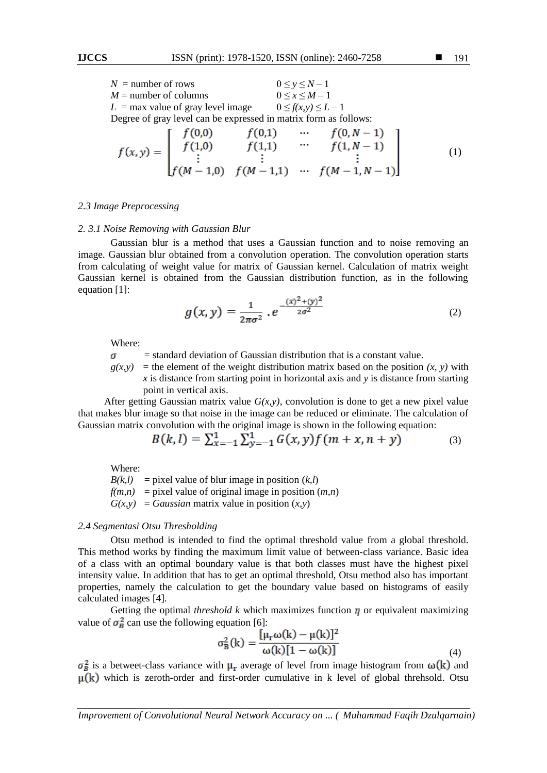$$
f(x,y) = \begin{bmatrix} f(0,0) & f(0,1) & \cdots & f(0,N-1) \\ f(1,0) & f(1,1) & \cdots & f(1,N-1) \\ \vdots & \vdots & & \vdots \\ f(M-1,0) & f(M-1,1) & \cdots & f(M-1,N-1) \end{bmatrix}
$$
 (1)

#### *2.3 Image Preprocessing*

#### *2. 3.1 Noise Removing with Gaussian Blur*

Gaussian blur is a method that uses a Gaussian function and to noise removing an image. Gaussian blur obtained from a convolution operation. The convolution operation starts from calculating of weight value for matrix of Gaussian kernel. Calculation of matrix weight Gaussian kernel is obtained from the Gaussian distribution function, as in the following equation [1]:

$$
g(x,y) = \frac{1}{2\pi\sigma^2} \cdot e^{-\frac{(x)^2 + (y)^2}{2\sigma^2}}
$$
 (2)

Where:

= standard deviation of Gaussian distribution that is a constant value.  $\sigma$ 

 $g(x, y)$  = the element of the weight distribution matrix based on the position  $(x, y)$  with *x* is distance from starting point in horizontal axis and *y* is distance from starting point in vertical axis.

After getting Gaussian matrix value  $G(x, y)$ , convolution is done to get a new pixel value that makes blur image so that noise in the image can be reduced or eliminate. The calculation of Gaussian matrix convolution with the original image is shown in the following equation:

$$
B(k, l) = \sum_{x=-1}^{1} \sum_{y=-1}^{1} G(x, y) f(m+x, n+y)
$$
 (3)

Where:

 $B(k,l)$  = pixel value of blur image in position  $(k,l)$  $f(m,n)$  = pixel value of original image in position  $(m,n)$  $G(x, y) = Gaussian$  matrix value in position  $(x, y)$ 

#### *2.4 Segmentasi Otsu Thresholding*

Otsu method is intended to find the optimal threshold value from a global threshold. This method works by finding the maximum limit value of between-class variance. Basic idea of a class with an optimal boundary value is that both classes must have the highest pixel intensity value. In addition that has to get an optimal threshold, Otsu method also has important properties, namely the calculation to get the boundary value based on histograms of easily calculated images [4].

Getting the optimal *threshold*  $k$  which maximizes function  $\eta$  or equivalent maximizing value of  $\sigma_B^2$  can use the following equation [6]:

$$
\sigma_{\mathbf{B}}^2(\mathbf{k}) = \frac{[\mu_{\mathbf{r}}\omega(\mathbf{k}) - \mu(\mathbf{k})]^2}{\omega(\mathbf{k})[1 - \omega(\mathbf{k})]}
$$
(4)

 $\sigma_B^2$  is a betweet-class variance with  $\mu_r$  average of level from image histogram from  $\omega(k)$  and  $\mu(k)$  which is zeroth-order and first-order cumulative in k level of global threhsold. Otsu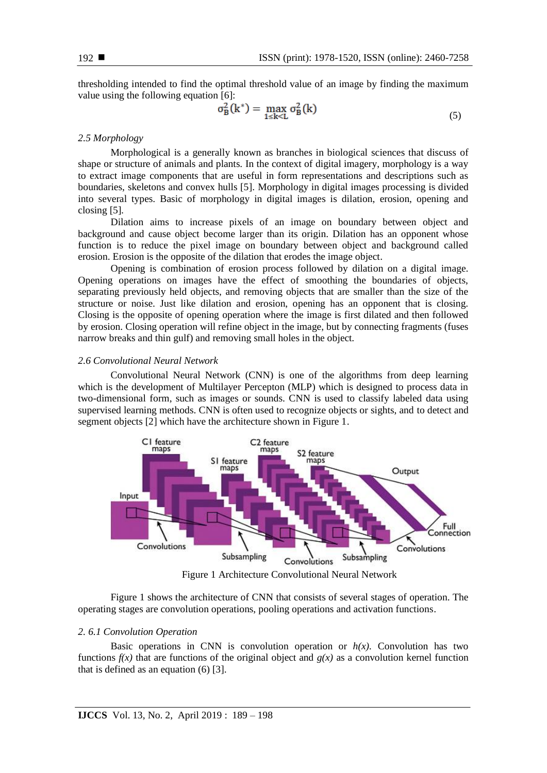thresholding intended to find the optimal threshold value of an image by finding the maximum value using the following equation [6]:

$$
\sigma_B^2(k^*) = \max_{1 \le k \le L} \sigma_B^2(k) \tag{5}
$$

#### *2.5 Morphology*

Morphological is a generally known as branches in biological sciences that discuss of shape or structure of animals and plants. In the context of digital imagery, morphology is a way to extract image components that are useful in form representations and descriptions such as boundaries, skeletons and convex hulls [5]. Morphology in digital images processing is divided into several types. Basic of morphology in digital images is dilation, erosion, opening and closing [5]*.*

Dilation aims to increase pixels of an image on boundary between object and background and cause object become larger than its origin. Dilation has an opponent whose function is to reduce the pixel image on boundary between object and background called erosion. Erosion is the opposite of the dilation that erodes the image object.

Opening is combination of erosion process followed by dilation on a digital image. Opening operations on images have the effect of smoothing the boundaries of objects, separating previously held objects, and removing objects that are smaller than the size of the structure or noise. Just like dilation and erosion, opening has an opponent that is closing. Closing is the opposite of opening operation where the image is first dilated and then followed by erosion. Closing operation will refine object in the image, but by connecting fragments (fuses narrow breaks and thin gulf) and removing small holes in the object.

#### *2.6 Convolutional Neural Network*

Convolutional Neural Network (CNN) is one of the algorithms from deep learning which is the development of Multilayer Percepton (MLP) which is designed to process data in two-dimensional form, such as images or sounds. CNN is used to classify labeled data using supervised learning methods. CNN is often used to recognize objects or sights, and to detect and segment objects [2] which have the architecture shown in Figure 1.



Figure 1 Architecture Convolutional Neural Network

Figure 1 shows the architecture of CNN that consists of several stages of operation. The operating stages are convolution operations, pooling operations and activation functions.

#### *2. 6.1 Convolution Operation*

Basic operations in CNN is convolution operation or  $h(x)$ . Convolution has two functions  $f(x)$  that are functions of the original object and  $g(x)$  as a convolution kernel function that is defined as an equation (6) [3].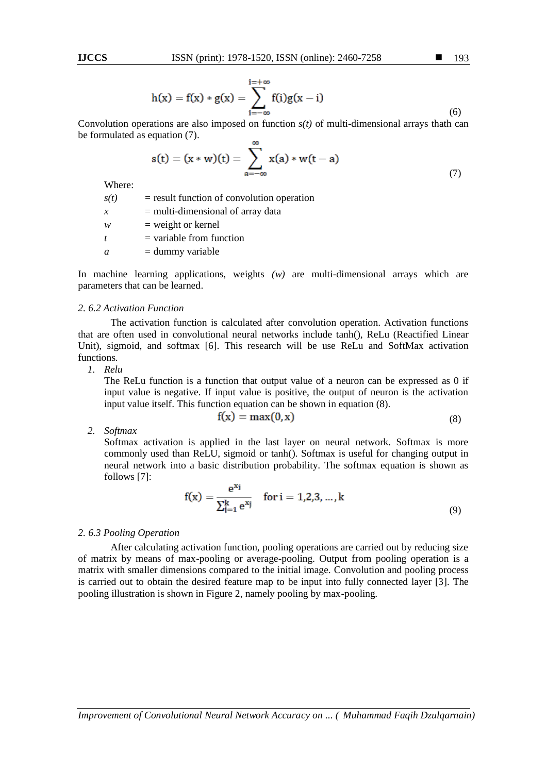$$
h(x) = f(x) * g(x) = \sum_{i=-\infty}^{i=+\infty} f(i)g(x - i)
$$

Convolution operations are also imposed on function  $s(t)$  of multi-dimensional arrays thath can be formulated as equation (7).  $\sim$ 

$$
s(t) = (x * w)(t) = \sum_{a = -\infty}^{\infty} x(a) * w(t - a)
$$
\n(7)

Where:

| s(t)             | $=$ result function of convolution operation |
|------------------|----------------------------------------------|
| $\mathcal{X}$    | $=$ multi-dimensional of array data          |
| w                | $=$ weight or kernel                         |
| $\boldsymbol{t}$ | $=$ variable from function                   |
| a                | $=$ dummy variable                           |
|                  |                                              |

In machine learning applications, weights *(w)* are multi-dimensional arrays which are parameters that can be learned.

#### *2. 6.2 Activation Function*

The activation function is calculated after convolution operation. Activation functions that are often used in convolutional neural networks include tanh(), ReLu (Reactified Linear Unit), sigmoid, and softmax [6]. This research will be use ReLu and SoftMax activation functions*.*

*1. Relu*

The ReLu function is a function that output value of a neuron can be expressed as 0 if input value is negative. If input value is positive, the output of neuron is the activation input value itself. This function equation can be shown in equation (8).

$$
f(x) = \max(0, x) \tag{8}
$$

*2. Softmax*

Softmax activation is applied in the last layer on neural network. Softmax is more commonly used than ReLU, sigmoid or tanh(). Softmax is useful for changing output in neural network into a basic distribution probability. The softmax equation is shown as follows [7]:

$$
f(x) = \frac{e^{x_1}}{\sum_{j=1}^{k} e^{x_j}} \quad \text{for } i = 1, 2, 3, ..., k
$$
 (9)

#### *2. 6.3 Pooling Operation*

After calculating activation function, pooling operations are carried out by reducing size of matrix by means of max-pooling or average-pooling. Output from pooling operation is a matrix with smaller dimensions compared to the initial image. Convolution and pooling process is carried out to obtain the desired feature map to be input into fully connected layer [3]. The pooling illustration is shown in Figure 2, namely pooling by max-pooling*.*

*Improvement of Convolutional Neural Network Accuracy on ... ( Muhammad Faqih Dzulqarnain)*

(6)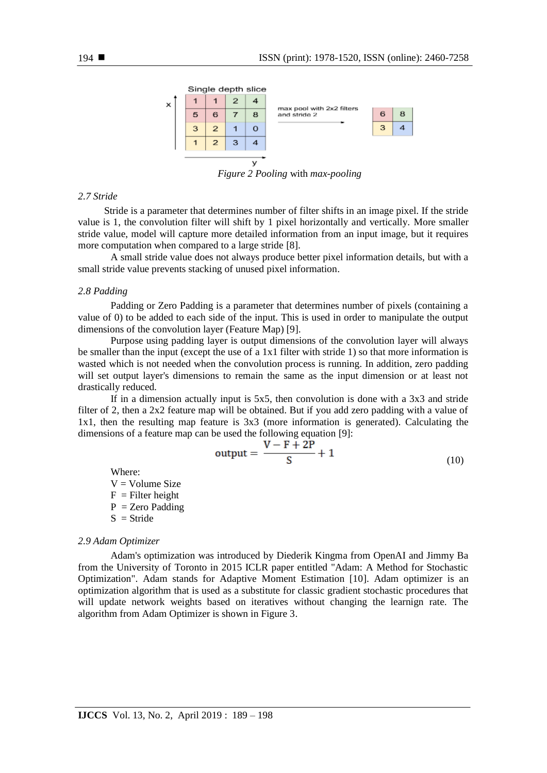

*Figure 2 Pooling* with *max-pooling*

## *2.7 Stride*

Stride is a parameter that determines number of filter shifts in an image pixel. If the stride value is 1, the convolution filter will shift by 1 pixel horizontally and vertically. More smaller stride value, model will capture more detailed information from an input image, but it requires more computation when compared to a large stride [8].

A small stride value does not always produce better pixel information details, but with a small stride value prevents stacking of unused pixel information.

## *2.8 Padding*

Padding or Zero Padding is a parameter that determines number of pixels (containing a value of 0) to be added to each side of the input. This is used in order to manipulate the output dimensions of the convolution layer (Feature Map) [9].

Purpose using padding layer is output dimensions of the convolution layer will always be smaller than the input (except the use of a 1x1 filter with stride 1) so that more information is wasted which is not needed when the convolution process is running. In addition, zero padding will set output layer's dimensions to remain the same as the input dimension or at least not drastically reduced*.*

If in a dimension actually input is  $5x5$ , then convolution is done with a  $3x3$  and stride filter of 2, then a 2x2 feature map will be obtained. But if you add zero padding with a value of 1x1, then the resulting map feature is 3x3 (more information is generated). Calculating the dimensions of a feature map can be used the following equation [9]:

$$
output = \frac{V - F + 2P}{S} + 1\tag{10}
$$

Where:  $V = Volume Size$  $F =$  Filter height  $P = Zero$  Padding  $S =$ Stride

#### *2.9 Adam Optimizer*

Adam's optimization was introduced by Diederik Kingma from OpenAI and Jimmy Ba from the University of Toronto in 2015 ICLR paper entitled "Adam: A Method for Stochastic Optimization". Adam stands for Adaptive Moment Estimation [10]. Adam optimizer is an optimization algorithm that is used as a substitute for classic gradient stochastic procedures that will update network weights based on iteratives without changing the learnign rate. The algorithm from Adam Optimizer is shown in Figure 3.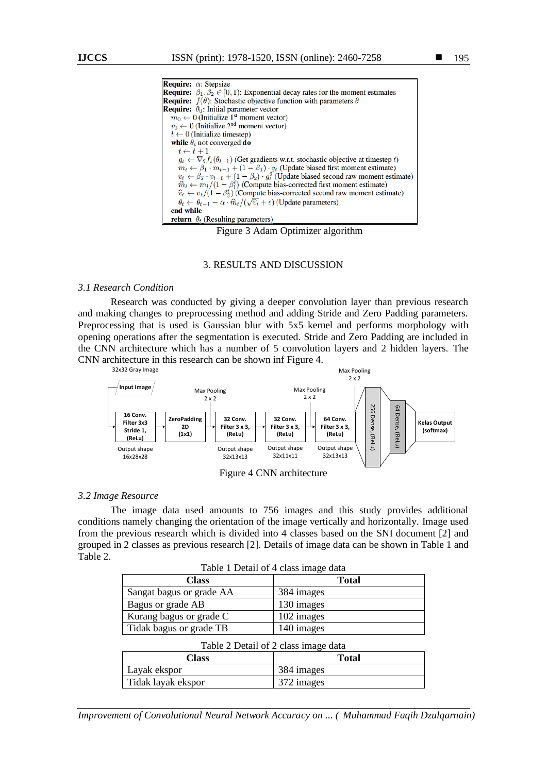

Figure 3 Adam Optimizer algorithm

## 3. RESULTS AND DISCUSSION

## *3.1 Research Condition*

Research was conducted by giving a deeper convolution layer than previous research and making changes to preprocessing method and adding Stride and Zero Padding parameters. Preprocessing that is used is Gaussian blur with 5x5 kernel and performs morphology with opening operations after the segmentation is executed. Stride and Zero Padding are included in the CNN architecture which has a number of 5 convolution layers and 2 hidden layers. The CNN architecture in this research can be shown inf Figure 4.



#### *3.2 Image Resource*

The image data used amounts to 756 images and this study provides additional conditions namely changing the orientation of the image vertically and horizontally. Image used from the previous research which is divided into 4 classes based on the SNI document [2] and grouped in 2 classes as previous research [2]. Details of image data can be shown in Table 1 and Table 2.

 $T_{\rm T}$  1  $T_{\rm T}$  +  $T_{\rm T}$  +  $T_{\rm T}$   $T_{\rm T}$  +  $T_{\rm T}$   $T_{\rm T}$  +  $T_{\rm T}$  +  $T_{\rm T}$  +  $T_{\rm T}$  +  $T_{\rm T}$  +  $T_{\rm T}$  +  $T_{\rm T}$  +  $T_{\rm T}$  +  $T_{\rm T}$  +  $T_{\rm T}$  +  $T_{\rm T}$  +  $T_{\rm T}$  +  $T_{\rm T}$  +  $T_{\rm T}$  +  $T_{\rm$ 

| Table 1 Detail of 4 class image data |              |  |  |  |
|--------------------------------------|--------------|--|--|--|
| <b>Class</b>                         | <b>Total</b> |  |  |  |
| Sangat bagus or grade AA             | 384 images   |  |  |  |
| Bagus or grade AB                    | 130 images   |  |  |  |
| Kurang bagus or grade C              | 102 images   |  |  |  |
| Tidak bagus or grade TB              | 140 images   |  |  |  |
| Table 2 Detail of 2 class image data |              |  |  |  |

| Table 2 Detail of 2 class image data |              |  |  |  |
|--------------------------------------|--------------|--|--|--|
| Class                                | <b>Total</b> |  |  |  |
| Layak ekspor                         | 384 images   |  |  |  |
| Tidak layak ekspor                   | 372 images   |  |  |  |
|                                      |              |  |  |  |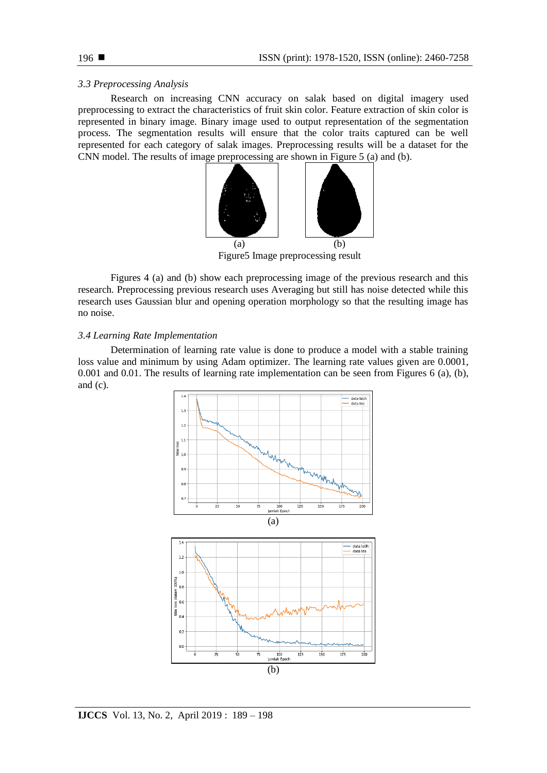## *3.3 Preprocessing Analysis*

Research on increasing CNN accuracy on salak based on digital imagery used preprocessing to extract the characteristics of fruit skin color. Feature extraction of skin color is represented in binary image. Binary image used to output representation of the segmentation process. The segmentation results will ensure that the color traits captured can be well represented for each category of salak images. Preprocessing results will be a dataset for the CNN model. The results of image preprocessing are shown in Figure 5 (a) and (b).



Figure5 Image preprocessing result

Figures 4 (a) and (b) show each preprocessing image of the previous research and this research. Preprocessing previous research uses Averaging but still has noise detected while this research uses Gaussian blur and opening operation morphology so that the resulting image has no noise.

## *3.4 Learning Rate Implementation*

Determination of learning rate value is done to produce a model with a stable training loss value and minimum by using Adam optimizer. The learning rate values given are 0.0001, 0.001 and 0.01. The results of learning rate implementation can be seen from Figures 6 (a), (b), and (c).

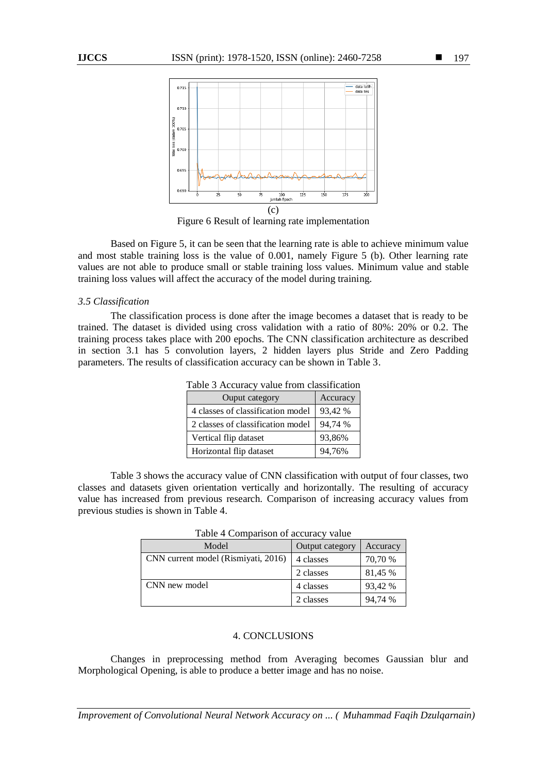

Figure 6 Result of learning rate implementation

Based on Figure 5, it can be seen that the learning rate is able to achieve minimum value and most stable training loss is the value of 0.001, namely Figure 5 (b). Other learning rate values are not able to produce small or stable training loss values. Minimum value and stable training loss values will affect the accuracy of the model during training.

## *3.5 Classification*

The classification process is done after the image becomes a dataset that is ready to be trained. The dataset is divided using cross validation with a ratio of 80%: 20% or 0.2. The training process takes place with 200 epochs. The CNN classification architecture as described in section 3.1 has 5 convolution layers, 2 hidden layers plus Stride and Zero Padding parameters. The results of classification accuracy can be shown in Table 3.

| Table 3 Accuracy value from classification |          |  |  |  |
|--------------------------------------------|----------|--|--|--|
| Ouput category                             | Accuracy |  |  |  |
| 4 classes of classification model          | 93,42 %  |  |  |  |
| 2 classes of classification model          | 94,74 %  |  |  |  |
| Vertical flip dataset                      | 93,86%   |  |  |  |
| Horizontal flip dataset                    | 94,76%   |  |  |  |

Table 3 shows the accuracy value of CNN classification with output of four classes, two classes and datasets given orientation vertically and horizontally. The resulting of accuracy value has increased from previous research. Comparison of increasing accuracy values from previous studies is shown in Table 4.

| $14010 + \text{Conf}(4150H)$ of accuracy value |                 |          |  |  |
|------------------------------------------------|-----------------|----------|--|--|
| Model                                          | Output category | Accuracy |  |  |
| CNN current model (Rismiyati, 2016)            | 4 classes       | 70,70 %  |  |  |
|                                                | 2 classes       | 81,45 %  |  |  |
| CNN new model                                  | 4 classes       | 93,42 %  |  |  |
|                                                | 2 classes       | 94,74 %  |  |  |

Table 4 Comparison of accuracy value

#### 4. CONCLUSIONS

Changes in preprocessing method from Averaging becomes Gaussian blur and Morphological Opening, is able to produce a better image and has no noise*.*

*Improvement of Convolutional Neural Network Accuracy on ... ( Muhammad Faqih Dzulqarnain)*